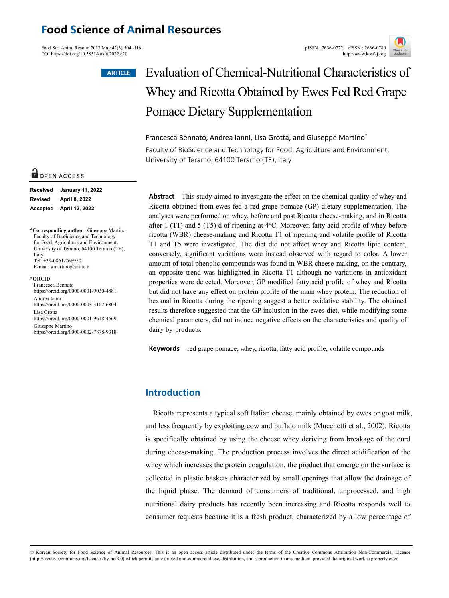## **Food Science of Animal Resources**

Food Sci. Anim. Resour. 2022 May 42(3):504~516<br>
DOI https://doi.org/10.5851/kosfa.2022.e20 DOI https://doi.org/10.5851/kosfa.2022.e20

#### **ARTICLE**



# Evaluation of Chemical-Nutritional Characteristics of Whey and Ricotta Obtained by Ewes Fed Red Grape Pomace Dietary Supplementation

### Francesca Bennato, Andrea Ianni, Lisa Grotta, and Giuseppe Martino\*

Faculty of BioScience and Technology for Food, Agriculture and Environment, University of Teramo, 64100 Teramo (TE), Italy

**Abstract** This study aimed to investigate the effect on the chemical quality of whey and Ricotta obtained from ewes fed a red grape pomace (GP) dietary supplementation. The analyses were performed on whey, before and post Ricotta cheese-making, and in Ricotta after 1 (T1) and 5 (T5) d of ripening at 4℃. Moreover, fatty acid profile of whey before ricotta (WBR) cheese-making and Ricotta T1 of ripening and volatile profile of Ricotta T1 and T5 were investigated. The diet did not affect whey and Ricotta lipid content, conversely, significant variations were instead observed with regard to color. A lower amount of total phenolic compounds was found in WBR cheese-making, on the contrary, an opposite trend was highlighted in Ricotta T1 although no variations in antioxidant properties were detected. Moreover, GP modified fatty acid profile of whey and Ricotta but did not have any effect on protein profile of the main whey protein. The reduction of hexanal in Ricotta during the ripening suggest a better oxidative stability. The obtained results therefore suggested that the GP inclusion in the ewes diet, while modifying some chemical parameters, did not induce negative effects on the characteristics and quality of dairy by-products.

**Keywords** red grape pomace, whey, ricotta, fatty acid profile, volatile compounds

## **Introduction**

Ricotta represents a typical soft Italian cheese, mainly obtained by ewes or goat milk, and less frequently by exploiting cow and buffalo milk (Mucchetti et al., 2002). Ricotta is specifically obtained by using the cheese whey deriving from breakage of the curd during cheese-making. The production process involves the direct acidification of the whey which increases the protein coagulation, the product that emerge on the surface is collected in plastic baskets characterized by small openings that allow the drainage of the liquid phase. The demand of consumers of traditional, unprocessed, and high nutritional dairy products has recently been increasing and Ricotta responds well to consumer requests because it is a fresh product, characterized by a low percentage of

#### © Korean Society for Food Science of Animal Resources. This is an open access article distributed under the terms of the Creative Commons Attribution Non-Commercial License (http://creativecommons.org/licences/by-nc/3.0) which permits unrestricted non-commercial use, distribution, and reproduction in any medium, provided the original work is properly cited.

## OPEN ACCESS

| <b>Received</b> | <b>January 11, 2022</b> |
|-----------------|-------------------------|
| <b>Revised</b>  | April 8, 2022           |
|                 | Accepted April 12, 2022 |

**\*Corresponding author** : Giuseppe Martino Faculty of BioScience and Technology for Food, Agriculture and Environment University of Teramo, 64100 Teramo (TE), Italy Tel: +39-0861-266950 E-mail: gmartino@unite.it

#### **\*ORCID**

Francesca Bennato https://orcid.org/0000-0001-9030-4881 Andrea Ianni https://orcid.org/0000-0003-3102-6804 Lisa Grotta https://orcid.org/0000-0001-9618-4569 Giuseppe Martino https://orcid.org/0000-0002-7878-9318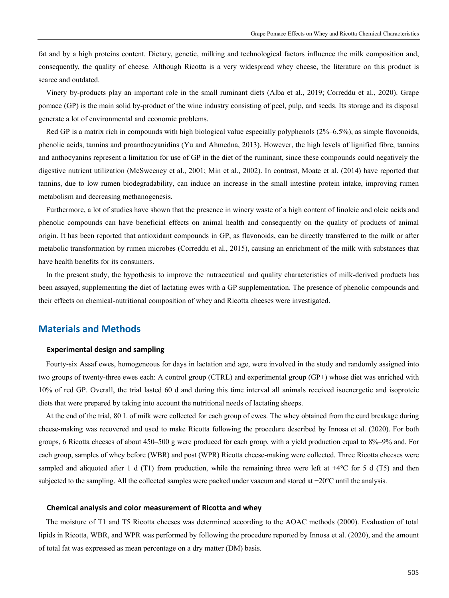fat and by a high proteins content. Dietary, genetic, milking and technological factors influence the milk composition and, consequently, the quality of cheese. Although Ricotta is a very widespread whey cheese, the literature on this product is scarce and outdated.

Vinery by-products play an important role in the small ruminant diets (Alba et al., 2019; Correddu et al., 2020). Grape pomace (GP) is the main solid by-product of the wine industry consisting of peel, pulp, and seeds. Its storage and its disposal generate a lot of environmental and economic problems.

Red GP is a matrix rich in compounds with high biological value especially polyphenols (2%–6.5%), as simple flavonoids, phenolic acids, tannins and proanthocyanidins (Yu and Ahmedna, 2013). However, the high levels of lignified fibre, tannins and anthocyanins represent a limitation for use of GP in the diet of the ruminant, since these compounds could negatively the digestive nutrient utilization (McSweeney et al., 2001; Min et al., 2002). In contrast, Moate et al. (2014) have reported that tannins, due to low rumen biodegradability, can induce an increase in the small intestine protein intake, improving rumen metabolism and decreasing methanogenesis.

Furthermore, a lot of studies have shown that the presence in winery waste of a high content of linoleic and oleic acids and phenolic compounds can have beneficial effects on animal health and consequently on the quality of products of animal origin. It has been reported that antioxidant compounds in GP, as flavonoids, can be directly transferred to the milk or after metabolic transformation by rumen microbes (Correddu et al., 2015), causing an enrichment of the milk with substances that have health benefits for its consumers.

In the present study, the hypothesis to improve the nutraceutical and quality characteristics of milk-derived products has been assayed, supplementing the diet of lactating ewes with a GP supplementation. The presence of phenolic compounds and their effects on chemical-nutritional composition of whey and Ricotta cheeses were investigated.

## **Materials and Methods**

#### **Experimental design and sampling**

Fourty-six Assaf ewes, homogeneous for days in lactation and age, were involved in the study and randomly assigned into two groups of twenty-three ewes each: A control group (CTRL) and experimental group (GP+) whose diet was enriched with 10% of red GP. Overall, the trial lasted 60 d and during this time interval all animals received isoenergetic and isoproteic diets that were prepared by taking into account the nutritional needs of lactating sheeps.

At the end of the trial, 80 L of milk were collected for each group of ewes. The whey obtained from the curd breakage during cheese-making was recovered and used to make Ricotta following the procedure described by Innosa et al. (2020). For both groups, 6 Ricotta cheeses of about 450–500 g were produced for each group, with a yield production equal to 8%–9% and. For each group, samples of whey before (WBR) and post (WPR) Ricotta cheese-making were collected. Three Ricotta cheeses were sampled and aliquoted after 1 d (T1) from production, while the remaining three were left at  $+4^{\circ}$ C for 5 d (T5) and then subjected to the sampling. All the collected samples were packed under vaacum and stored at −20°C until the analysis.

#### **Chemical analysis and color measurement of Ricotta and whey**

The moisture of T1 and T5 Ricotta cheeses was determined according to the AOAC methods (2000). Evaluation of total lipids in Ricotta, WBR, and WPR was performed by following the procedure reported by Innosa et al. (2020), and **t**he amount of total fat was expressed as mean percentage on a dry matter (DM) basis.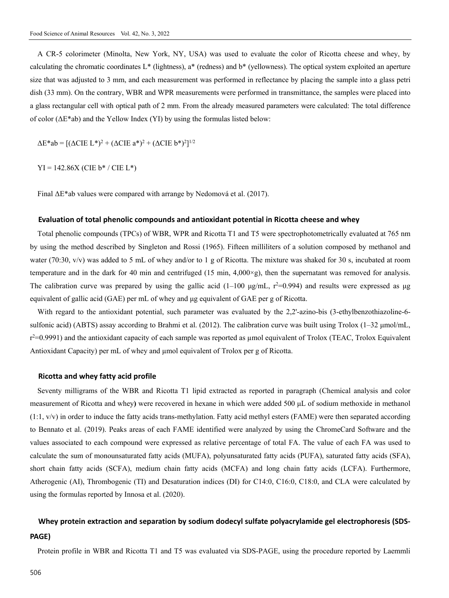A CR-5 colorimeter (Minolta, New York, NY, USA) was used to evaluate the color of Ricotta cheese and whey, by calculating the chromatic coordinates L\* (lightness), a\* (redness) and b\* (yellowness). The optical system exploited an aperture size that was adjusted to 3 mm, and each measurement was performed in reflectance by placing the sample into a glass petri dish (33 mm). On the contrary, WBR and WPR measurements were performed in transmittance, the samples were placed into a glass rectangular cell with optical path of 2 mm. From the already measured parameters were calculated: The total difference of color (ΔE\*ab) and the Yellow Index (YI) by using the formulas listed below:

 $\Delta E^*$ ab =  $[(\Delta CIE L^*)^2 + (\Delta CIE a^*)^2 + (\Delta CIE b^*)^2]^{1/2}$ 

 $YI = 142.86X$  (CIE b<sup>\*</sup> / CIE L<sup>\*</sup>)

Final ΔE\*ab values were compared with arrange by Nedomová et al. (2017).

#### **Evaluation of total phenolic compounds and antioxidant potential in Ricotta cheese and whey**

Total phenolic compounds (TPCs) of WBR, WPR and Ricotta T1 and T5 were spectrophotometrically evaluated at 765 nm by using the method described by Singleton and Rossi (1965). Fifteen milliliters of a solution composed by methanol and water (70:30,  $v/v$ ) was added to 5 mL of whey and/or to 1 g of Ricotta. The mixture was shaked for 30 s, incubated at room temperature and in the dark for 40 min and centrifuged (15 min,  $4,000\times g$ ), then the supernatant was removed for analysis. The calibration curve was prepared by using the gallic acid  $(1-100 \text{ µg/mL}, r^2=0.994)$  and results were expressed as  $\mu$ g equivalent of gallic acid (GAE) per mL of whey and μg equivalent of GAE per g of Ricotta.

With regard to the antioxidant potential, such parameter was evaluated by the 2,2'-azino-bis (3-ethylbenzothiazoline-6sulfonic acid) (ABTS) assay according to Brahmi et al. (2012). The calibration curve was built using Trolox  $(1-32 \mu m o l/mL)$ , r<sup>2</sup>=0.9991) and the antioxidant capacity of each sample was reported as µmol equivalent of Trolox (TEAC, Trolox Equivalent Antioxidant Capacity) per mL of whey and µmol equivalent of Trolox per g of Ricotta.

#### **Ricotta and whey fatty acid profile**

Seventy milligrams of the WBR and Ricotta T1 lipid extracted as reported in paragraph (Chemical analysis and color measurement of Ricotta and whey**)** were recovered in hexane in which were added 500 μL of sodium methoxide in methanol  $(1:1, v/v)$  in order to induce the fatty acids trans-methylation. Fatty acid methyl esters (FAME) were then separated according to Bennato et al. (2019). Peaks areas of each FAME identified were analyzed by using the ChromeCard Software and the values associated to each compound were expressed as relative percentage of total FA. The value of each FA was used to calculate the sum of monounsaturated fatty acids (MUFA), polyunsaturated fatty acids (PUFA), saturated fatty acids (SFA), short chain fatty acids (SCFA), medium chain fatty acids (MCFA) and long chain fatty acids (LCFA). Furthermore, Atherogenic (AI), Thrombogenic (TI) and Desaturation indices (DI) for C14:0, C16:0, C18:0, and CLA were calculated by using the formulas reported by Innosa et al. (2020).

## **Whey protein extraction and separation by sodium dodecyl sulfate polyacrylamide gel electrophoresis (SDS-**

#### **PAGE)**

Protein profile in WBR and Ricotta T1 and T5 was evaluated via SDS-PAGE, using the procedure reported by Laemmli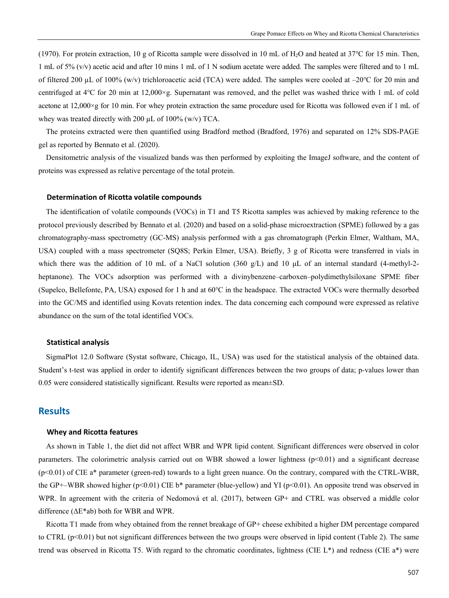(1970). For protein extraction, 10 g of Ricotta sample were dissolved in 10 mL of H2O and heated at 37℃ for 15 min. Then, 1 mL of 5% (v/v) acetic acid and after 10 mins 1 mL of 1 N sodium acetate were added. The samples were filtered and to 1 mL of filtered 200 µL of 100% (w/v) trichloroacetic acid (TCA) were added. The samples were cooled at  $-20^{\circ}$ C for 20 min and centrifuged at 4℃ for 20 min at 12,000×g. Supernatant was removed, and the pellet was washed thrice with 1 mL of cold acetone at  $12,000\times g$  for 10 min. For whey protein extraction the same procedure used for Ricotta was followed even if 1 mL of whey was treated directly with 200  $\mu$ L of 100% (w/v) TCA.

The proteins extracted were then quantified using Bradford method (Bradford, 1976) and separated on 12% SDS-PAGE gel as reported by Bennato et al. (2020).

Densitometric analysis of the visualized bands was then performed by exploiting the ImageJ software, and the content of proteins was expressed as relative percentage of the total protein.

#### **Determination of Ricotta volatile compounds**

The identification of volatile compounds (VOCs) in T1 and T5 Ricotta samples was achieved by making reference to the protocol previously described by Bennato et al. (2020) and based on a solid-phase microextraction (SPME) followed by a gas chromatography-mass spectrometry (GC-MS) analysis performed with a gas chromatograph (Perkin Elmer, Waltham, MA, USA) coupled with a mass spectrometer (SQ8S; Perkin Elmer, USA). Briefly, 3 g of Ricotta were transferred in vials in which there was the addition of 10 mL of a NaCl solution (360 g/L) and 10 μL of an internal standard (4-methyl-2 heptanone). The VOCs adsorption was performed with a divinybenzene–carboxen–polydimethylsiloxane SPME fiber (Supelco, Bellefonte, PA, USA) exposed for 1 h and at 60℃ in the headspace. The extracted VOCs were thermally desorbed into the GC/MS and identified using Kovats retention index. The data concerning each compound were expressed as relative abundance on the sum of the total identified VOCs.

#### **Statistical analysis**

SigmaPlot 12.0 Software (Systat software, Chicago, IL, USA) was used for the statistical analysis of the obtained data. Student's t*-*test was applied in order to identify significant differences between the two groups of data; p*-*values lower than 0.05 were considered statistically significant. Results were reported as mean±SD.

### **Results**

#### **Whey and Ricotta features**

As shown in Table 1, the diet did not affect WBR and WPR lipid content. Significant differences were observed in color parameters. The colorimetric analysis carried out on WBR showed a lower lightness  $(p<0.01)$  and a significant decrease  $(p<0.01)$  of CIE a\* parameter (green-red) towards to a light green nuance. On the contrary, compared with the CTRL-WBR, the GP+–WBR showed higher (p<0.01) CIE b\* parameter (blue-yellow) and YI (p<0.01). An opposite trend was observed in WPR. In agreement with the criteria of Nedomová et al. (2017), between GP+ and CTRL was observed a middle color difference (ΔE\*ab) both for WBR and WPR.

Ricotta T1 made from whey obtained from the rennet breakage of GP+ cheese exhibited a higher DM percentage compared to CTRL  $(p<0.01)$  but not significant differences between the two groups were observed in lipid content (Table 2). The same trend was observed in Ricotta T5. With regard to the chromatic coordinates, lightness (CIE L\*) and redness (CIE a\*) were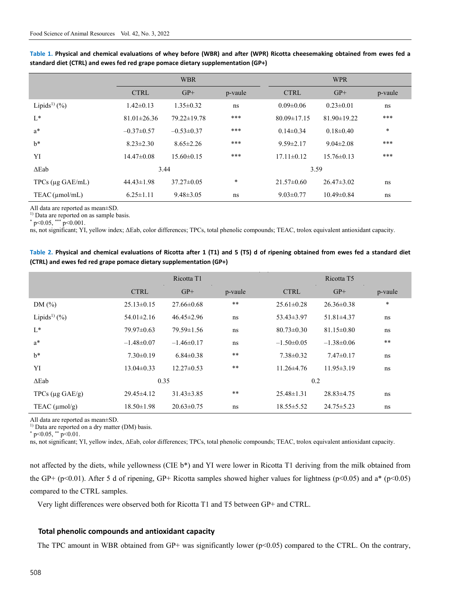|                               |                   | <b>WBR</b>       |         | <b>WPR</b>        |                   |         |  |
|-------------------------------|-------------------|------------------|---------|-------------------|-------------------|---------|--|
|                               | <b>CTRL</b>       | $GP+$            | p-vaule | <b>CTRL</b>       | $GP+$             | p-vaule |  |
| Lipids <sup>1)</sup> $(\%)$   | $1.42 \pm 0.13$   | $1.35 \pm 0.32$  | ns      | $0.09 \pm 0.06$   | $0.23 \pm 0.01$   | ns      |  |
| $L^*$                         | $81.01 \pm 26.36$ | 79.22±19.78      | ***     | $80.09 \pm 17.15$ | $81.90 \pm 19.22$ | ***     |  |
| $a^*$                         | $-0.37 \pm 0.57$  | $-0.53 \pm 0.37$ | ***     | $0.14 \pm 0.34$   | $0.18 \pm 0.40$   | $\ast$  |  |
| $h^*$                         | $8.23 \pm 2.30$   | $8.65 \pm 2.26$  | ***     | $9.59 \pm 2.17$   | $9.04 \pm 2.08$   | ***     |  |
| YI                            | $14.47\pm0.08$    | $15.60 \pm 0.15$ | ***     | $17.11 \pm 0.12$  | $15.76 \pm 0.13$  | ***     |  |
| $\Delta$ Eab                  | 3.44              |                  |         | 3.59              |                   |         |  |
| TPCs $(\mu g \text{ GAE/mL})$ | $44.43 \pm 1.98$  | $37.27 \pm 0.05$ | $\ast$  | $21.57 \pm 0.60$  | $26.47 \pm 3.02$  | ns      |  |
| $TEAC$ ( $\mu$ mol/mL)        | $6.25 \pm 1.11$   | $9.48 \pm 3.05$  | ns      | $9.03 \pm 0.77$   | $10.49 \pm 0.84$  | ns      |  |

**Table 1. Physical and chemical evaluations of whey before (WBR) and after (WPR) Ricotta cheesemaking obtained from ewes fed a standard diet (CTRL) and ewes fed red grape pomace dietary supplementation (GP+)** 

All data are reported as mean±SD.

<sup>1)</sup> Data are reported on as sample basis.

 $*$  p<0.05, \*\*\* p<0.001.

ns, not significant; YI, yellow index; ΔEab, color differences; TPCs, total phenolic compounds; TEAC, trolox equivalent antioxidant capacity.

| Table 2. Physical and chemical evaluations of Ricotta after 1 (T1) and 5 (T5) d of ripening obtained from ewes fed a standard diet |  |
|------------------------------------------------------------------------------------------------------------------------------------|--|
| (CTRL) and ewes fed red grape pomace dietary supplementation (GP+)                                                                 |  |

|                              | Ricotta T1       |                  |            | Ricotta T <sub>5</sub> |                  |         |  |
|------------------------------|------------------|------------------|------------|------------------------|------------------|---------|--|
|                              | <b>CTRL</b>      | $GP+$            | p-vaule    | <b>CTRL</b>            | $GP+$            | p-vaule |  |
| DM(%)                        | $25.13 \pm 0.15$ | $27.66 \pm 0.68$ | $\ast\ast$ | $25.61 \pm 0.28$       | $26.36 \pm 0.38$ | $\ast$  |  |
| Lipids <sup>1)</sup> $(\% )$ | $54.01 \pm 2.16$ | $46.45 \pm 2.96$ | ns         | $53.43 \pm 3.97$       | $51.81 \pm 4.37$ | ns      |  |
| $L^*$                        | $79.97 \pm 0.63$ | $79.59 \pm 1.56$ | ns         | $80.73 \pm 0.30$       | $81.15 \pm 0.80$ | ns      |  |
| $a^*$                        | $-1.48 \pm 0.07$ | $-1.46\pm0.17$   | ns         | $-1.50\pm0.05$         | $-1.38\pm0.06$   | $* *$   |  |
| $h^*$                        | $7.30\pm0.19$    | $6.84 \pm 0.38$  | $\ast\ast$ | $7.38 \pm 0.32$        | $7.47\pm0.17$    | ns      |  |
| YI                           | $13.04 \pm 0.33$ | $12.27 \pm 0.53$ | $* *$      | $11.26 \pm 4.76$       | $11.95 \pm 3.19$ | ns      |  |
| $\Delta$ Eab                 | 0.35             |                  |            | 0.2                    |                  |         |  |
| TPCs $(\mu g \text{ GAE/g})$ | $29.45\pm4.12$   | $31.43 \pm 3.85$ | $* *$      | $25.48 \pm 1.31$       | $28.83 \pm 4.75$ | ns      |  |
| TEAC $(\mu mol/g)$           | $18.50 \pm 1.98$ | $20.63 \pm 0.75$ | ns         | $18.55 \pm 5.52$       | $24.75 \pm 5.23$ | ns      |  |

All data are reported as mean±SD.

<sup>1)</sup> Data are reported on a dry matter (DM) basis.  $*$  p<0.05,  $**$  p<0.01.

ns, not significant; YI, yellow index, ΔEab, color differences; TPCs, total phenolic compounds; TEAC, trolox equivalent antioxidant capacity.

not affected by the diets, while yellowness (CIE b\*) and YI were lower in Ricotta T1 deriving from the milk obtained from the GP+ (p<0.01). After 5 d of ripening, GP+ Ricotta samples showed higher values for lightness (p<0.05) and a\* (p<0.05) compared to the CTRL samples.

Very light differences were observed both for Ricotta T1 and T5 between GP+ and CTRL.

#### **Total phenolic compounds and antioxidant capacity**

The TPC amount in WBR obtained from GP+ was significantly lower (p<0.05) compared to the CTRL. On the contrary,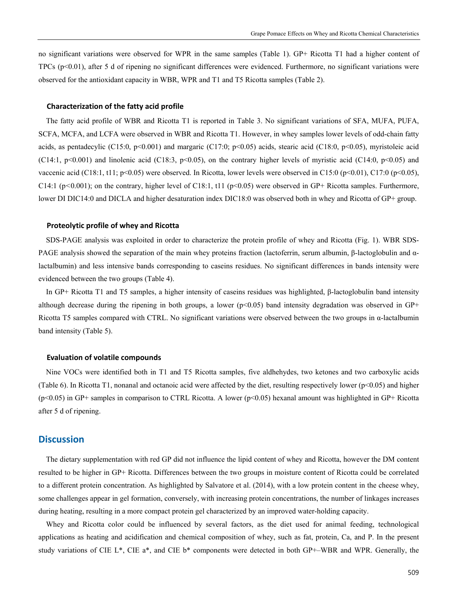no significant variations were observed for WPR in the same samples (Table 1). GP+ Ricotta T1 had a higher content of TPCs (p<0.01), after 5 d of ripening no significant differences were evidenced. Furthermore, no significant variations were observed for the antioxidant capacity in WBR, WPR and T1 and T5 Ricotta samples (Table 2).

#### **Characterization of the fatty acid profile**

The fatty acid profile of WBR and Ricotta T1 is reported in Table 3. No significant variations of SFA, MUFA, PUFA, SCFA, MCFA, and LCFA were observed in WBR and Ricotta T1. However, in whey samples lower levels of odd-chain fatty acids, as pentadecylic (C15:0, p<0.001) and margaric (C17:0; p<0.05) acids, stearic acid (C18:0, p<0.05), myristoleic acid (C14:1, p<0.001) and linolenic acid (C18:3, p<0.05), on the contrary higher levels of myristic acid (C14:0, p<0.05) and vaccenic acid (C18:1, t11; p<0.05) were observed. In Ricotta, lower levels were observed in C15:0 (p<0.01), C17:0 (p<0.05), C14:1 (p*<*0.001); on the contrary, higher level of C18:1, t11 (p<0.05) were observed in GP+ Ricotta samples. Furthermore, lower DI DIC14:0 and DICLA and higher desaturation index DIC18:0 was observed both in whey and Ricotta of GP+ group.

#### **Proteolytic profile of whey and Ricotta**

SDS-PAGE analysis was exploited in order to characterize the protein profile of whey and Ricotta (Fig. 1). WBR SDS-PAGE analysis showed the separation of the main whey proteins fraction (lactoferrin, serum albumin, β-lactoglobulin and αlactalbumin) and less intensive bands corresponding to caseins residues. No significant differences in bands intensity were evidenced between the two groups (Table 4).

In GP+ Ricotta T1 and T5 samples, a higher intensity of caseins residues was highlighted, β-lactoglobulin band intensity although decrease during the ripening in both groups, a lower ( $p<0.05$ ) band intensity degradation was observed in GP+ Ricotta T5 samples compared with CTRL. No significant variations were observed between the two groups in α-lactalbumin band intensity (Table 5).

#### **Evaluation of volatile compounds**

Nine VOCs were identified both in T1 and T5 Ricotta samples, five aldhehydes, two ketones and two carboxylic acids (Table 6). In Ricotta T1, nonanal and octanoic acid were affected by the diet, resulting respectively lower ( $p<0.05$ ) and higher (p<0.05) in GP+ samples in comparison to CTRL Ricotta. A lower (p<0.05) hexanal amount was highlighted in GP+ Ricotta after 5 d of ripening.

#### **Discussion**

The dietary supplementation with red GP did not influence the lipid content of whey and Ricotta, however the DM content resulted to be higher in GP+ Ricotta. Differences between the two groups in moisture content of Ricotta could be correlated to a different protein concentration. As highlighted by Salvatore et al. (2014), with a low protein content in the cheese whey, some challenges appear in gel formation, conversely, with increasing protein concentrations, the number of linkages increases during heating, resulting in a more compact protein gel characterized by an improved water-holding capacity.

Whey and Ricotta color could be influenced by several factors, as the diet used for animal feeding, technological applications as heating and acidification and chemical composition of whey, such as fat, protein, Ca, and P. In the present study variations of CIE L\*, CIE a\*, and CIE b\* components were detected in both GP+–WBR and WPR. Generally, the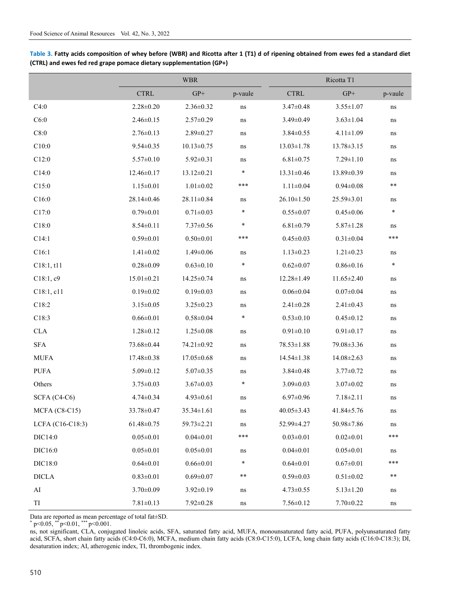|                  | <b>WBR</b>       |                  |              | Ricotta T1                   |                  |              |  |
|------------------|------------------|------------------|--------------|------------------------------|------------------|--------------|--|
|                  | <b>CTRL</b>      | $GP+$            | p-vaule      | $\ensuremath{\mathsf{CTRL}}$ | ${\rm GP}+$      | p-vaule      |  |
| C4:0             | $2.28 \pm 0.20$  | $2.36 \pm 0.32$  | ns           | $3.47 \pm 0.48$              | $3.55 \pm 1.07$  | $\bf ns$     |  |
| C6:0             | $2.46 \pm 0.15$  | $2.57 \pm 0.29$  | $\, \rm ns$  | $3.49 \pm 0.49$              | $3.63 \pm 1.04$  | ns           |  |
| C8:0             | $2.76 \pm 0.13$  | $2.89 \pm 0.27$  | $\rm ns$     | $3.84 \pm 0.55$              | $4.11 \pm 1.09$  | $\,$ ns $\,$ |  |
| C10:0            | $9.54 \pm 0.35$  | $10.13 \pm 0.75$ | $\, \rm ns$  | $13.03 \pm 1.78$             | $13.78 \pm 3.15$ | ns           |  |
| C12:0            | $5.57 \pm 0.10$  | $5.92 \pm 0.31$  | ns           | $6.81 \pm 0.75$              | $7.29 \pm 1.10$  | ns           |  |
| C14:0            | 12.46±0.17       | $13.12 \pm 0.21$ | $\ast$       | 13.31±0.46                   | 13.89±0.39       | ns           |  |
| C15:0            | $1.15 \pm 0.01$  | $1.01 \pm 0.02$  | ***          | $1.11 \pm 0.04$              | $0.94 \pm 0.08$  | $***$        |  |
| C16:0            | 28.14±0.46       | 28.11±0.84       | ns           | $26.10 \pm 1.50$             | 25.59±3.01       | ns           |  |
| C17:0            | $0.79 \pm 0.01$  | $0.71 \pm 0.03$  | $\ast$       | $0.55 \pm 0.07$              | $0.45 \pm 0.06$  | $\ast$       |  |
| C18:0            | $8.54 \pm 0.11$  | $7.37 \pm 0.56$  | $\ast$       | $6.81 \pm 0.79$              | $5.87 \pm 1.28$  | ns           |  |
| C14:1            | $0.59 \pm 0.01$  | $0.50 \pm 0.01$  | ***          | $0.45 \pm 0.03$              | $0.31 \pm 0.04$  | ***          |  |
| C16:1            | $1.41 \pm 0.02$  | $1.49 \pm 0.06$  | ns           | $1.13 \pm 0.23$              | $1.21 \pm 0.23$  | ns           |  |
| C18:1, t11       | $0.28 \pm 0.09$  | $0.63 \pm 0.10$  | $\ast$       | $0.62 \pm 0.07$              | $0.86 \pm 0.16$  | $\ast$       |  |
| C18:1, c9        | $15.01 \pm 0.21$ | 14.25±0.74       | ns           | 12.28±1.49                   | $11.65 \pm 2.40$ | ns           |  |
| C18:1, c11       | $0.19 \pm 0.02$  | $0.19 \pm 0.03$  | $\, \rm ns$  | $0.06 \pm 0.04$              | $0.07 \pm 0.04$  | ns           |  |
| C18:2            | $3.15 \pm 0.05$  | $3.25 \pm 0.23$  | ns           | $2.41 \pm 0.28$              | $2.41 \pm 0.43$  | $\,$ ns $\,$ |  |
| C18:3            | $0.66 \pm 0.01$  | $0.58 + 0.04$    | $\ast$       | $0.53 \pm 0.10$              | $0.45 \pm 0.12$  | ns           |  |
| $\rm CLA$        | $1.28 \pm 0.12$  | $1.25 \pm 0.08$  | $\rm ns$     | $0.91 \pm 0.10$              | $0.91 \pm 0.17$  | ns           |  |
| ${\rm SFA}$      | $73.68 \pm 0.44$ | 74.21±0.92       | $\, \rm ns$  | $78.53 \pm 1.88$             | 79.08±3.36       | ns           |  |
| <b>MUFA</b>      | 17.48±0.38       | $17.05 \pm 0.68$ | ns           | $14.54 \pm 1.38$             | 14.08±2.63       | $\,$ ns $\,$ |  |
| <b>PUFA</b>      | $5.09 \pm 0.12$  | $5.07 \pm 0.35$  | ns           | $3.84 \pm 0.48$              | $3.77 \pm 0.72$  | $\,$ ns $\,$ |  |
| Others           | $3.75 \pm 0.03$  | $3.67 \pm 0.03$  | $\ast$       | $3.09 \pm 0.03$              | $3.07 \pm 0.02$  | $\,$ ns $\,$ |  |
| SCFA (C4-C6)     | $4.74 \pm 0.34$  | $4.93 \pm 0.61$  | $\, \rm ns$  | $6.97 \pm 0.96$              | $7.18 \pm 2.11$  | ns           |  |
| $MCFA (C8-C15)$  | 33.78±0.47       | 35.34±1.61       | ns           | $40.05 \pm 3.43$             | 41.84±5.76       | ns           |  |
| LCFA (C16-C18:3) | $61.48 \pm 0.75$ | 59.73±2.21       | ns           | 52.99±4.27                   | 50.98±7.86       | ns           |  |
| DIC14:0          | $0.05 \pm 0.01$  | $0.04 \pm 0.01$  | ***          | $0.03 \pm 0.01$              | $0.02 \pm 0.01$  | ***          |  |
| DIC16:0          | $0.05 \pm 0.01$  | $0.05 \pm 0.01$  | $\,$ ns $\,$ | $0.04 \pm 0.01$              | $0.05 \pm 0.01$  | ns           |  |
| DIC18:0          | $0.64 \pm 0.01$  | $0.66 \pm 0.01$  | *            | $0.64 \pm 0.01$              | $0.67 \pm 0.01$  | ***          |  |
| $\sf DICLA$      | $0.83 \pm 0.01$  | $0.69 \pm 0.07$  | **           | $0.59 \pm 0.03$              | $0.51 \pm 0.02$  | **           |  |
| ${\rm AI}$       | $3.70 \pm 0.09$  | $3.92 \pm 0.19$  | $\, \rm ns$  | $4.73 \pm 0.55$              | $5.13 \pm 1.20$  | ns           |  |
| TI               | $7.81 \pm 0.13$  | $7.92 \pm 0.28$  | $\, \rm ns$  | $7.56 \pm 0.12$              | $7.70 \pm 0.22$  | ns           |  |

**Table 3. Fatty acids composition of whey before (WBR) and Ricotta after 1 (T1) d of ripening obtained from ewes fed a standard diet (CTRL) and ewes fed red grape pomace dietary supplementation (GP+)** 

Data are reported as mean percentage of total fat±SD.

 $*$  p<0.05,  $*$  p<0.01,  $*$  p <0.001.

ns, not significant, CLA, conjugated linoleic acids, SFA, saturated fatty acid, MUFA, monounsaturated fatty acid, PUFA, polyunsaturated fatty acid, SCFA, short chain fatty acids (C4:0-C6:0), MCFA, medium chain fatty acids (C8:0-C15:0), LCFA, long chain fatty acids (C16:0-C18:3); DI, desaturation index; AI, atherogenic index, TI, thrombogenic index.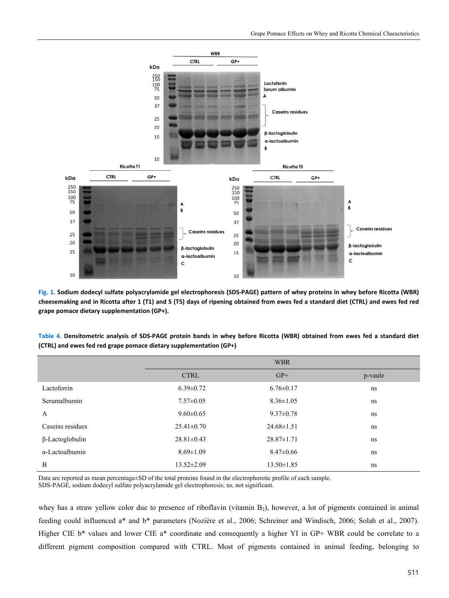

**Fig. 1. Sodium dodecyl sulfate polyacrylamide gel electrophoresis (SDS-PAGE) pattern of whey proteins in whey before Ricotta (WBR) cheesemaking and in Ricotta after 1 (T1) and 5 (T5) days of ripening obtained from ewes fed a standard diet (CTRL) and ewes fed red grape pomace dietary supplementation (GP+).** 

| Table 4. Densitometric analysis of SDS-PAGE protein bands in whey before Ricotta (WBR) obtained from ewes fed a standard diet |  |  |  |  |  |  |  |
|-------------------------------------------------------------------------------------------------------------------------------|--|--|--|--|--|--|--|
| (CTRL) and ewes fed red grape pomace dietary supplementation (GP+)                                                            |  |  |  |  |  |  |  |

|                        | <b>WBR</b>       |                  |         |  |  |  |  |
|------------------------|------------------|------------------|---------|--|--|--|--|
|                        | <b>CTRL</b>      | $GP+$            | p-vaule |  |  |  |  |
| Lactoferrin            | $6.39 \pm 0.72$  | $6.76 \pm 0.17$  | ns      |  |  |  |  |
| Serumalbumin           | $7.57 \pm 0.05$  | $8.36 \pm 1.05$  | ns      |  |  |  |  |
| A                      | $9.60 \pm 0.65$  | $9.37 \pm 0.78$  | ns      |  |  |  |  |
| Caseins residues       | $25.41 \pm 0.70$ | $24.68 \pm 1.51$ | ns      |  |  |  |  |
| $\beta$ -Lactoglobulin | $28.81 \pm 0.43$ | $28.87 \pm 1.71$ | ns      |  |  |  |  |
| $\alpha$ -Lactoalbumin | $8.69 \pm 1.09$  | $8.47 \pm 0.66$  | ns      |  |  |  |  |
| B                      | $13.52 \pm 2.09$ | $13.50 \pm 1.85$ | ns      |  |  |  |  |

Data are reported as mean percentage±SD of the total proteins found in the electrophoretic profile of each sample.

SDS-PAGE, sodium dodecyl sulfate polyacrylamide gel electrophoresis; ns, not significant.

whey has a straw yellow color due to presence of riboflavin (vitamin  $B_2$ ), however, a lot of pigments contained in animal feeding could influenced a\* and b\* parameters (Nozière et al., 2006; Schreiner and Windisch, 2006; Solah et al., 2007). Higher CIE  $b^*$  values and lower CIE a<sup>\*</sup> coordinate and consequently a higher YI in GP+ WBR could be correlate to a different pigment composition compared with CTRL. Most of pigments contained in animal feeding, belonging to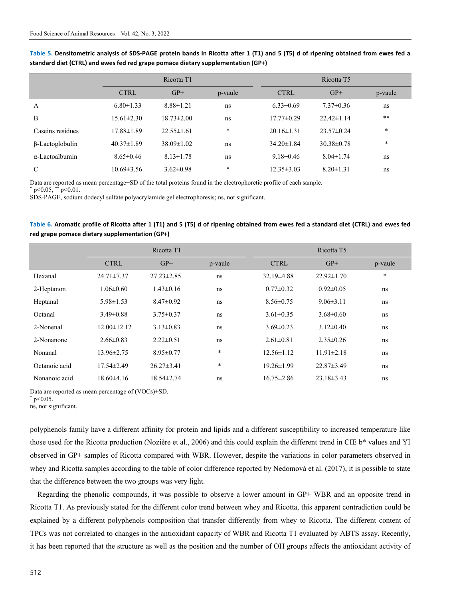|                        | Ricotta T1       |                  |         |                  | Ricotta T <sub>5</sub> |         |  |  |
|------------------------|------------------|------------------|---------|------------------|------------------------|---------|--|--|
|                        | <b>CTRL</b>      | $GP+$            | p-vaule | <b>CTRL</b>      | $GP+$                  | p-vaule |  |  |
| $\overline{A}$         | $6.80 \pm 1.33$  | $8.88 \pm 1.21$  | ns      | $6.33 \pm 0.69$  | $7.37 \pm 0.36$        | ns      |  |  |
| B                      | $15.61 \pm 2.30$ | $18.73 \pm 2.00$ | ns      | $17.77 \pm 0.29$ | $22.42 \pm 1.14$       | **      |  |  |
| Caseins residues       | 17.88±1.89       | $22.55 \pm 1.61$ | $\ast$  | $20.16 \pm 1.31$ | $23.57 \pm 0.24$       | $\ast$  |  |  |
| $\beta$ -Lactoglobulin | $40.37 \pm 1.89$ | $38.09 \pm 1.02$ | ns      | $34.20 \pm 1.84$ | $30.38 \pm 0.78$       | $\ast$  |  |  |
| $\alpha$ -Lactoalbumin | $8.65 \pm 0.46$  | $8.13 \pm 1.78$  | ns      | $9.18 \pm 0.46$  | $8.04 \pm 1.74$        | ns      |  |  |
| C                      | $10.69 \pm 3.56$ | $3.62 \pm 0.98$  | $*$     | $12.35 \pm 3.03$ | $8.20 \pm 1.31$        | ns      |  |  |

**Table 5. Densitometric analysis of SDS-PAGE protein bands in Ricotta after 1 (T1) and 5 (T5) d of ripening obtained from ewes fed a standard diet (CTRL) and ewes fed red grape pomace dietary supplementation (GP+)** 

Data are reported as mean percentage±SD of the total proteins found in the electrophoretic profile of each sample.

 $p<0.05$ , \*\*  $p<0.01$ .

SDS-PAGE, sodium dodecyl sulfate polyacrylamide gel electrophoresis; ns, not significant.

| Table 6. Aromatic profile of Ricotta after 1 (T1) and 5 (T5) d of ripening obtained from ewes fed a standard diet (CTRL) and ewes fed |  |
|---------------------------------------------------------------------------------------------------------------------------------------|--|
| red grape pomace dietary supplementation (GP+)                                                                                        |  |

|               |                   | Ricotta T1       |         |                  |                  |         |
|---------------|-------------------|------------------|---------|------------------|------------------|---------|
|               | <b>CTRL</b>       | $GP+$            | p-vaule | <b>CTRL</b>      | $GP+$            | p-vaule |
| Hexanal       | $24.71 \pm 7.37$  | $27.23 \pm 2.85$ | ns      | $32.19\pm4.88$   | $22.92 \pm 1.70$ | $\ast$  |
| 2-Heptanon    | $1.06 \pm 0.60$   | $1.43 \pm 0.16$  | ns      | $0.77 \pm 0.32$  | $0.92 \pm 0.05$  | ns      |
| Heptanal      | $5.98 \pm 1.53$   | $8.47 \pm 0.92$  | ns      | $8.56 \pm 0.75$  | $9.06 \pm 3.11$  | ns      |
| Octanal       | $3.49 \pm 0.88$   | $3.75 \pm 0.37$  | ns      | $3.61 \pm 0.35$  | $3.68\pm0.60$    | ns      |
| 2-Nonenal     | $12.00 \pm 12.12$ | $3.13 \pm 0.83$  | ns      | $3.69 \pm 0.23$  | $3.12\pm0.40$    | ns      |
| 2-Nonanone    | $2.66\pm0.83$     | $2.22 \pm 0.51$  | ns      | $2.61 \pm 0.81$  | $2.35\pm0.26$    | ns      |
| Nonanal       | $13.96 \pm 2.75$  | $8.95 \pm 0.77$  | $\ast$  | $12.56 \pm 1.12$ | $11.91 \pm 2.18$ | ns      |
| Octanoic acid | $17.54 \pm 2.49$  | $26.27 \pm 3.41$ | $\ast$  | $19.26 \pm 1.99$ | $22.87 \pm 3.49$ | ns      |
| Nonanoic acid | $18.60\pm4.16$    | $18.54 \pm 2.74$ | ns      | $16.75 \pm 2.86$ | $23.18 \pm 3.43$ | ns      |

Data are reported as mean percentage of (VOCs)±SD.

 $*$  p<0.05.

ns, not significant.

polyphenols family have a different affinity for protein and lipids and a different susceptibility to increased temperature like those used for the Ricotta production (Nozière et al., 2006) and this could explain the different trend in CIE b\* values and YI observed in GP+ samples of Ricotta compared with WBR. However, despite the variations in color parameters observed in whey and Ricotta samples according to the table of color difference reported by Nedomová et al. (2017), it is possible to state that the difference between the two groups was very light.

Regarding the phenolic compounds, it was possible to observe a lower amount in GP+ WBR and an opposite trend in Ricotta T1. As previously stated for the different color trend between whey and Ricotta, this apparent contradiction could be explained by a different polyphenols composition that transfer differently from whey to Ricotta. The different content of TPCs was not correlated to changes in the antioxidant capacity of WBR and Ricotta T1 evaluated by ABTS assay. Recently, it has been reported that the structure as well as the position and the number of OH groups affects the antioxidant activity of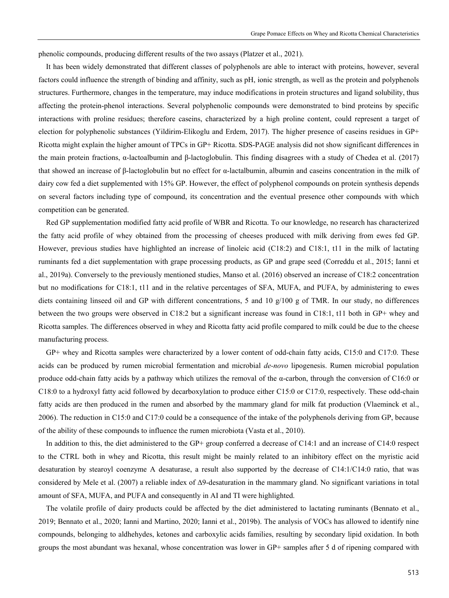phenolic compounds, producing different results of the two assays (Platzer et al., 2021).

It has been widely demonstrated that different classes of polyphenols are able to interact with proteins, however, several factors could influence the strength of binding and affinity, such as pH, ionic strength, as well as the protein and polyphenols structures. Furthermore, changes in the temperature, may induce modifications in protein structures and ligand solubility, thus affecting the protein-phenol interactions. Several polyphenolic compounds were demonstrated to bind proteins by specific interactions with proline residues; therefore caseins, characterized by a high proline content, could represent a target of election for polyphenolic substances (Yildirim-Elikoglu and Erdem, 2017). The higher presence of caseins residues in GP+ Ricotta might explain the higher amount of TPCs in GP+ Ricotta. SDS-PAGE analysis did not show significant differences in the main protein fractions, α-lactoalbumin and β-lactoglobulin. This finding disagrees with a study of Chedea et al. (2017) that showed an increase of β-lactoglobulin but no effect for α-lactalbumin, albumin and caseins concentration in the milk of dairy cow fed a diet supplemented with 15% GP. However, the effect of polyphenol compounds on protein synthesis depends on several factors including type of compound, its concentration and the eventual presence other compounds with which competition can be generated.

Red GP supplementation modified fatty acid profile of WBR and Ricotta. To our knowledge, no research has characterized the fatty acid profile of whey obtained from the processing of cheeses produced with milk deriving from ewes fed GP. However, previous studies have highlighted an increase of linoleic acid (C18:2) and C18:1, t11 in the milk of lactating ruminants fed a diet supplementation with grape processing products, as GP and grape seed (Correddu et al., 2015; Ianni et al., 2019a). Conversely to the previously mentioned studies, Manso et al. (2016) observed an increase of C18:2 concentration but no modifications for C18:1, t11 and in the relative percentages of SFA, MUFA, and PUFA, by administering to ewes diets containing linseed oil and GP with different concentrations, 5 and 10 g/100 g of TMR. In our study, no differences between the two groups were observed in C18:2 but a significant increase was found in C18:1, t11 both in GP+ whey and Ricotta samples. The differences observed in whey and Ricotta fatty acid profile compared to milk could be due to the cheese manufacturing process.

GP+ whey and Ricotta samples were characterized by a lower content of odd-chain fatty acids, C15:0 and C17:0. These acids can be produced by rumen microbial fermentation and microbial *de-novo* lipogenesis. Rumen microbial population produce odd-chain fatty acids by a pathway which utilizes the removal of the α-carbon, through the conversion of C16:0 or C18:0 to a hydroxyl fatty acid followed by decarboxylation to produce either C15:0 or C17:0, respectively. These odd-chain fatty acids are then produced in the rumen and absorbed by the mammary gland for milk fat production (Vlaeminck et al., 2006). The reduction in C15:0 and C17:0 could be a consequence of the intake of the polyphenols deriving from GP, because of the ability of these compounds to influence the rumen microbiota (Vasta et al., 2010).

In addition to this, the diet administered to the GP+ group conferred a decrease of C14:1 and an increase of C14:0 respect to the CTRL both in whey and Ricotta, this result might be mainly related to an inhibitory effect on the myristic acid desaturation by stearoyl coenzyme A desaturase, a result also supported by the decrease of C14:1/C14:0 ratio, that was considered by Mele et al. (2007) a reliable index of Δ9-desaturation in the mammary gland. No significant variations in total amount of SFA, MUFA, and PUFA and consequently in AI and TI were highlighted.

The volatile profile of dairy products could be affected by the diet administered to lactating ruminants (Bennato et al., 2019; Bennato et al., 2020; Ianni and Martino, 2020; Ianni et al., 2019b). The analysis of VOCs has allowed to identify nine compounds, belonging to aldhehydes, ketones and carboxylic acids families, resulting by secondary lipid oxidation. In both groups the most abundant was hexanal, whose concentration was lower in GP+ samples after 5 d of ripening compared with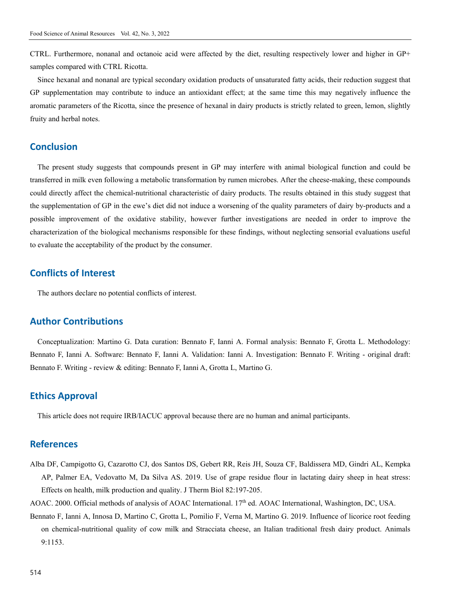CTRL. Furthermore, nonanal and octanoic acid were affected by the diet, resulting respectively lower and higher in GP+ samples compared with CTRL Ricotta.

Since hexanal and nonanal are typical secondary oxidation products of unsaturated fatty acids, their reduction suggest that GP supplementation may contribute to induce an antioxidant effect; at the same time this may negatively influence the aromatic parameters of the Ricotta, since the presence of hexanal in dairy products is strictly related to green, lemon, slightly fruity and herbal notes.

## **Conclusion**

The present study suggests that compounds present in GP may interfere with animal biological function and could be transferred in milk even following a metabolic transformation by rumen microbes. After the cheese-making, these compounds could directly affect the chemical-nutritional characteristic of dairy products. The results obtained in this study suggest that the supplementation of GP in the ewe's diet did not induce a worsening of the quality parameters of dairy by-products and a possible improvement of the oxidative stability, however further investigations are needed in order to improve the characterization of the biological mechanisms responsible for these findings, without neglecting sensorial evaluations useful to evaluate the acceptability of the product by the consumer.

## **Conflicts of Interest**

The authors declare no potential conflicts of interest.

## **Author Contributions**

Conceptualization: Martino G. Data curation: Bennato F, Ianni A. Formal analysis: Bennato F, Grotta L. Methodology: Bennato F, Ianni A. Software: Bennato F, Ianni A. Validation: Ianni A. Investigation: Bennato F. Writing - original draft: Bennato F. Writing - review & editing: Bennato F, Ianni A, Grotta L, Martino G.

## **Ethics Approval**

This article does not require IRB/IACUC approval because there are no human and animal participants.

## **References**

- Alba DF, Campigotto G, Cazarotto CJ, dos Santos DS, Gebert RR, Reis JH, Souza CF, Baldissera MD, Gindri AL, Kempka AP, Palmer EA, Vedovatto M, Da Silva AS. 2019. Use of grape residue flour in lactating dairy sheep in heat stress: Effects on health, milk production and quality. J Therm Biol 82:197-205.
- AOAC. 2000. Official methods of analysis of AOAC International. 17<sup>th</sup> ed. AOAC International, Washington, DC, USA.
- Bennato F, Ianni A, Innosa D, Martino C, Grotta L, Pomilio F, Verna M, Martino G. 2019. Influence of licorice root feeding on chemical-nutritional quality of cow milk and Stracciata cheese, an Italian traditional fresh dairy product. Animals 9:1153.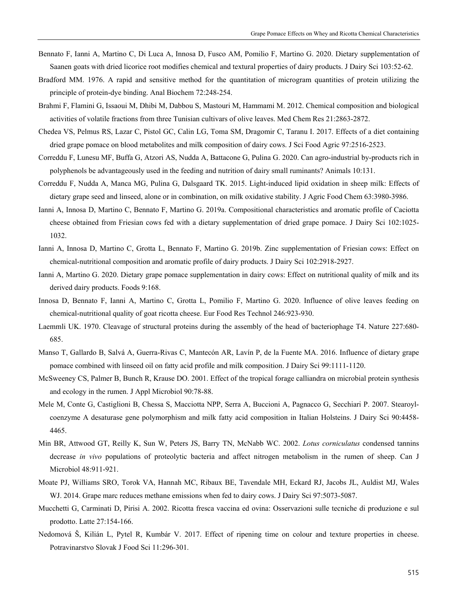- Bennato F, Ianni A, Martino C, Di Luca A, Innosa D, Fusco AM, Pomilio F, Martino G. 2020. Dietary supplementation of Saanen goats with dried licorice root modifies chemical and textural properties of dairy products. J Dairy Sci 103:52-62.
- Bradford MM. 1976. A rapid and sensitive method for the quantitation of microgram quantities of protein utilizing the principle of protein-dye binding. Anal Biochem 72:248-254.
- Brahmi F, Flamini G, Issaoui M, Dhibi M, Dabbou S, Mastouri M, Hammami M. 2012. Chemical composition and biological activities of volatile fractions from three Tunisian cultivars of olive leaves. Med Chem Res 21:2863-2872.
- Chedea VS, Pelmus RS, Lazar C, Pistol GC, Calin LG, Toma SM, Dragomir C, Taranu I. 2017. Effects of a diet containing dried grape pomace on blood metabolites and milk composition of dairy cows. J Sci Food Agric 97:2516-2523.
- Correddu F, Lunesu MF, Buffa G, Atzori AS, Nudda A, Battacone G, Pulina G. 2020. Can agro-industrial by-products rich in polyphenols be advantageously used in the feeding and nutrition of dairy small ruminants? Animals 10:131.
- Correddu F, Nudda A, Manca MG, Pulina G, Dalsgaard TK. 2015. Light-induced lipid oxidation in sheep milk: Effects of dietary grape seed and linseed, alone or in combination, on milk oxidative stability. J Agric Food Chem 63:3980-3986.
- Ianni A, Innosa D, Martino C, Bennato F, Martino G. 2019a. Compositional characteristics and aromatic profile of Caciotta cheese obtained from Friesian cows fed with a dietary supplementation of dried grape pomace. J Dairy Sci 102:1025- 1032.
- Ianni A, Innosa D, Martino C, Grotta L, Bennato F, Martino G. 2019b. Zinc supplementation of Friesian cows: Effect on chemical-nutritional composition and aromatic profile of dairy products. J Dairy Sci 102:2918-2927.
- Ianni A, Martino G. 2020. Dietary grape pomace supplementation in dairy cows: Effect on nutritional quality of milk and its derived dairy products. Foods 9:168.
- Innosa D, Bennato F, Ianni A, Martino C, Grotta L, Pomilio F, Martino G. 2020. Influence of olive leaves feeding on chemical-nutritional quality of goat ricotta cheese. Eur Food Res Technol 246:923-930.
- Laemmli UK. 1970. Cleavage of structural proteins during the assembly of the head of bacteriophage T4. Nature 227:680- 685.
- Manso T, Gallardo B, Salvá A, Guerra-Rivas C, Mantecón AR, Lavín P, de la Fuente MA. 2016. Influence of dietary grape pomace combined with linseed oil on fatty acid profile and milk composition. J Dairy Sci 99:1111-1120.
- McSweeney CS, Palmer B, Bunch R, Krause DO. 2001. Effect of the tropical forage calliandra on microbial protein synthesis and ecology in the rumen. J Appl Microbiol 90:78-88.
- Mele M, Conte G, Castiglioni B, Chessa S, Macciotta NPP, Serra A, Buccioni A, Pagnacco G, Secchiari P. 2007. Stearoylcoenzyme A desaturase gene polymorphism and milk fatty acid composition in Italian Holsteins. J Dairy Sci 90:4458- 4465.
- Min BR, Attwood GT, Reilly K, Sun W, Peters JS, Barry TN, McNabb WC. 2002. *Lotus corniculatus* condensed tannins decrease *in vivo* populations of proteolytic bacteria and affect nitrogen metabolism in the rumen of sheep. Can J Microbiol 48:911-921.
- Moate PJ, Williams SRO, Torok VA, Hannah MC, Ribaux BE, Tavendale MH, Eckard RJ, Jacobs JL, Auldist MJ, Wales WJ. 2014. Grape marc reduces methane emissions when fed to dairy cows. J Dairy Sci 97:5073-5087.
- Mucchetti G, Carminati D, Pirisi A. 2002. Ricotta fresca vaccina ed ovina: Osservazioni sulle tecniche di produzione e sul prodotto. Latte 27:154-166.
- Nedomová Š, Kilián L, Pytel R, Kumbár V. 2017. Effect of ripening time on colour and texture properties in cheese. Potravinarstvo Slovak J Food Sci 11:296-301.